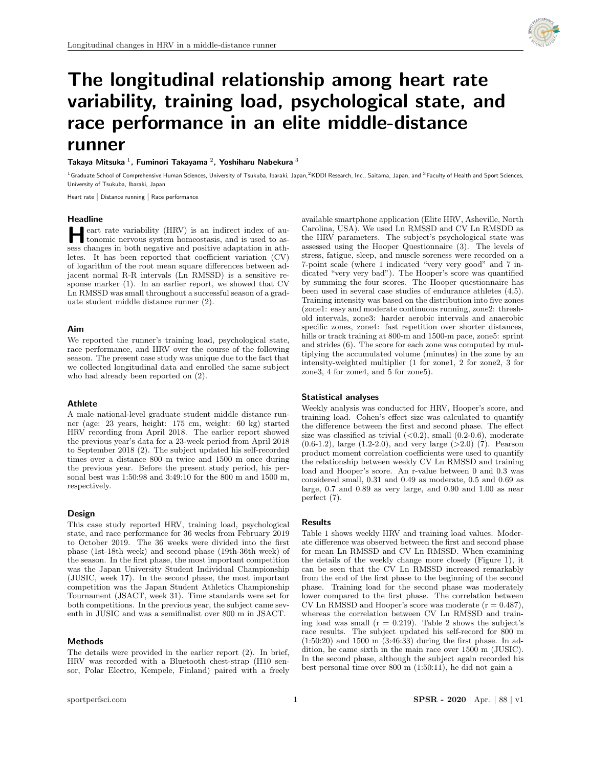

# The longitudinal relationship among heart rate variability, training load, psychological state, and race performance in an elite middle-distance runner

## Takaya Mitsuka<sup>1</sup>, Fuminori Takayama<sup>2</sup>, Yoshiharu Nabekura<sup>3</sup>

<sup>1</sup> Graduate School of Comprehensive Human Sciences, University of Tsukuba, Ibaraki, Japan,<sup>2</sup>KDDI Research, Inc., Saitama, Japan, and <sup>3</sup>Faculty of Health and Sport Sciences, University of Tsukuba, Ibaraki, Japan

Heart rate | Distance running | Race performance

#### Headline

**HE** eart rate variability (HRV) is an indirect index of autonomic nervous system homeostasis, and is used to as tonomic nervous system homeostasis, and is used to assess changes in both negative and positive adaptation in athletes. It has been reported that coefficient variation (CV) of logarithm of the root mean square differences between adjacent normal R-R intervals (Ln RMSSD) is a sensitive response marker (1). In an earlier report, we showed that CV Ln RMSSD was small throughout a successful season of a graduate student middle distance runner (2).

## Aim

We reported the runner's training load, psychological state, race performance, and HRV over the course of the following season. The present case study was unique due to the fact that we collected longitudinal data and enrolled the same subject who had already been reported on (2).

## Athlete

A male national-level graduate student middle distance runner (age: 23 years, height: 175 cm, weight: 60 kg) started HRV recording from April 2018. The earlier report showed the previous year's data for a 23-week period from April 2018 to September 2018 (2). The subject updated his self-recorded times over a distance 800 m twice and 1500 m once during the previous year. Before the present study period, his personal best was 1:50:98 and 3:49:10 for the 800 m and 1500 m, respectively.

#### Design

This case study reported HRV, training load, psychological state, and race performance for 36 weeks from February 2019 to October 2019. The 36 weeks were divided into the first phase (1st-18th week) and second phase (19th-36th week) of the season. In the first phase, the most important competition was the Japan University Student Individual Championship (JUSIC, week 17). In the second phase, the most important competition was the Japan Student Athletics Championship Tournament (JSACT, week 31). Time standards were set for both competitions. In the previous year, the subject came seventh in JUSIC and was a semifinalist over 800 m in JSACT.

## Methods

The details were provided in the earlier report (2). In brief, HRV was recorded with a Bluetooth chest-strap (H10 sensor, Polar Electro, Kempele, Finland) paired with a freely

available smartphone application (Elite HRV, Asheville, North Carolina, USA). We used Ln RMSSD and CV Ln RMSDD as the HRV parameters. The subject's psychological state was assessed using the Hooper Questionnaire (3). The levels of stress, fatigue, sleep, and muscle soreness were recorded on a 7-point scale (where 1 indicated "very very good" and 7 indicated "very very bad"). The Hooper's score was quantified by summing the four scores. The Hooper questionnaire has been used in several case studies of endurance athletes (4,5). Training intensity was based on the distribution into five zones (zone1: easy and moderate continuous running, zone2: threshold intervals, zone3: harder aerobic intervals and anaerobic specific zones, zone4: fast repetition over shorter distances, hills or track training at 800-m and 1500-m pace, zone5: sprint and strides (6). The score for each zone was computed by multiplying the accumulated volume (minutes) in the zone by an intensity-weighted multiplier (1 for zone1, 2 for zone2, 3 for zone3, 4 for zone4, and 5 for zone5).

#### Statistical analyses

Weekly analysis was conducted for HRV, Hooper's score, and training load. Cohen's effect size was calculated to quantify the difference between the first and second phase. The effect size was classified as trivial  $(<0.2$ ), small  $(0.2-0.6)$ , moderate  $(0.6-1.2)$ , large  $(1.2-2.0)$ , and very large  $(>2.0)$   $(7)$ . Pearson product moment correlation coefficients were used to quantify the relationship between weekly CV Ln RMSSD and training load and Hooper's score. An r-value between 0 and 0.3 was considered small, 0.31 and 0.49 as moderate, 0.5 and 0.69 as large, 0.7 and 0.89 as very large, and 0.90 and 1.00 as near perfect (7).

#### Results

Table 1 shows weekly HRV and training load values. Moderate difference was observed between the first and second phase for mean Ln RMSSD and CV Ln RMSSD. When examining the details of the weekly change more closely (Figure 1), it can be seen that the CV Ln RMSSD increased remarkably from the end of the first phase to the beginning of the second phase. Training load for the second phase was moderately lower compared to the first phase. The correlation between CV Ln RMSSD and Hooper's score was moderate  $(r = 0.487)$ , whereas the correlation between CV Ln RMSSD and training load was small  $(r = 0.219)$ . Table 2 shows the subject's race results. The subject updated his self-record for 800 m (1:50:20) and 1500 m (3:46:33) during the first phase. In addition, he came sixth in the main race over 1500 m (JUSIC). In the second phase, although the subject again recorded his best personal time over 800 m (1:50:11), he did not gain a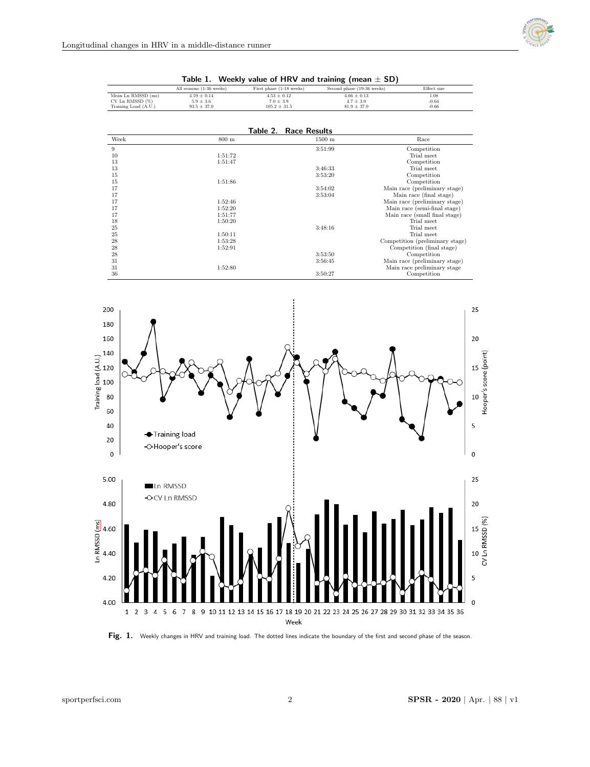

| Mean Ln RMSSD (ms)<br>$CV$ Ln RMSSD $(\%)$<br>Training Load (A.U.) | $4.59 \pm 0.14$<br>$5.9 \pm 3.6$<br>$93.5 \pm 37.0$ | $4.53 \pm 0.12$<br>$7.0 \pm 3.9$<br>$105.2 \pm 31.5$ | $4.66 \pm 0.13$<br>$4.7 \pm 3.0$<br>$81.9 \pm 37.0$ | 1.08<br>$-0.64$<br>$-0.66$      |
|--------------------------------------------------------------------|-----------------------------------------------------|------------------------------------------------------|-----------------------------------------------------|---------------------------------|
|                                                                    |                                                     | <b>Table 2. Race Results</b>                         |                                                     |                                 |
| Week                                                               | $800 \text{ m}$                                     | $1500 \text{ m}$                                     |                                                     | Race                            |
| 9                                                                  |                                                     | 3:51:99                                              |                                                     | Competition                     |
| 10                                                                 | 1:51:72                                             |                                                      |                                                     | Trial meet                      |
| 13                                                                 | 1:51:47                                             |                                                      |                                                     | Competition                     |
| 13                                                                 |                                                     | 3:46:33                                              |                                                     | Trial meet                      |
| 15                                                                 |                                                     | 3:53:20                                              |                                                     | Competition                     |
| 15                                                                 | 1:51:86                                             |                                                      |                                                     | Competition                     |
| 17                                                                 |                                                     | 3:54:02                                              |                                                     | Main race (preliminary stage)   |
| 17                                                                 |                                                     | 3:53:04                                              |                                                     | Main race (final stage)         |
| 17                                                                 | 1:52:46                                             |                                                      |                                                     | Main race (preliminary stage)   |
| 17                                                                 | 1:52:20                                             |                                                      |                                                     | Main race (semi-final stage)    |
| 17                                                                 | 1:51:77                                             |                                                      |                                                     | Main race (small final stage)   |
| 18                                                                 | 1:50:20                                             |                                                      |                                                     | Trial meet                      |
| 25                                                                 |                                                     | 3:48:16                                              |                                                     | Trial meet                      |
| 25                                                                 | 1:50:11                                             |                                                      |                                                     | Trial meet                      |
| 28                                                                 | 1:53:28                                             |                                                      |                                                     | Competition (preliminary stage) |
| 28                                                                 | 1:52:91                                             |                                                      |                                                     | Competition (final stage)       |
| 28                                                                 |                                                     | 3:53:50                                              |                                                     | Competition                     |
| 31                                                                 |                                                     | 3:56:45                                              |                                                     | Main race (preliminary stage)   |
| 31                                                                 | 1:52:80                                             |                                                      |                                                     | Main race preliminary stage     |
| 36                                                                 |                                                     | 3:50:27                                              |                                                     | Competition                     |



All seasons (1-36 weeks) First phase (1-18 weeks) Second phase (19-36 weeks) Effect size



Fig. 1. Weekly changes in HRV and training load. The dotted lines indicate the boundary of the first and second phase of the season.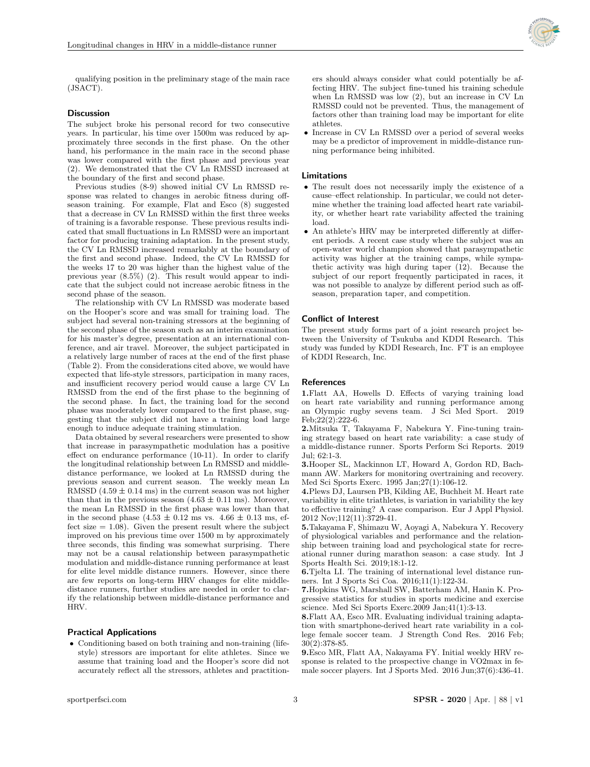

qualifying position in the preliminary stage of the main race (JSACT).

## **Discussion**

The subject broke his personal record for two consecutive years. In particular, his time over 1500m was reduced by approximately three seconds in the first phase. On the other hand, his performance in the main race in the second phase was lower compared with the first phase and previous year (2). We demonstrated that the CV Ln RMSSD increased at the boundary of the first and second phase.

Previous studies (8-9) showed initial CV Ln RMSSD response was related to changes in aerobic fitness during offseason training. For example, Flat and Esco (8) suggested that a decrease in CV Ln RMSSD within the first three weeks of training is a favorable response. These previous results indicated that small fluctuations in Ln RMSSD were an important factor for producing training adaptation. In the present study, the CV Ln RMSSD increased remarkably at the boundary of the first and second phase. Indeed, the CV Ln RMSSD for the weeks 17 to 20 was higher than the highest value of the previous year (8.5%) (2). This result would appear to indicate that the subject could not increase aerobic fitness in the second phase of the season.

The relationship with CV Ln RMSSD was moderate based on the Hooper's score and was small for training load. The subject had several non-training stressors at the beginning of the second phase of the season such as an interim examination for his master's degree, presentation at an international conference, and air travel. Moreover, the subject participated in a relatively large number of races at the end of the first phase (Table 2). From the considerations cited above, we would have expected that life-style stressors, participation in many races, and insufficient recovery period would cause a large CV Ln RMSSD from the end of the first phase to the beginning of the second phase. In fact, the training load for the second phase was moderately lower compared to the first phase, suggesting that the subject did not have a training load large enough to induce adequate training stimulation.

Data obtained by several researchers were presented to show that increase in parasympathetic modulation has a positive effect on endurance performance (10-11). In order to clarify the longitudinal relationship between Ln RMSSD and middledistance performance, we looked at Ln RMSSD during the previous season and current season. The weekly mean Ln RMSSD  $(4.59 \pm 0.14 \text{ ms})$  in the current season was not higher than that in the previous season  $(4.63 \pm 0.11 \text{ ms})$ . Moreover, the mean Ln RMSSD in the first phase was lower than that in the second phase  $(4.53 \pm 0.12 \text{ ms} \text{ vs. } 4.66 \pm 0.13 \text{ ms}, \text{ ef-}$ fect size  $= 1.08$ . Given the present result where the subject improved on his previous time over 1500 m by approximately three seconds, this finding was somewhat surprising. There may not be a causal relationship between parasympathetic modulation and middle-distance running performance at least for elite level middle distance runners. However, since there are few reports on long-term HRV changes for elite middledistance runners, further studies are needed in order to clarify the relationship between middle-distance performance and HRV.

## Practical Applications

• Conditioning based on both training and non-training (lifestyle) stressors are important for elite athletes. Since we assume that training load and the Hooper's score did not accurately reflect all the stressors, athletes and practitioners should always consider what could potentially be affecting HRV. The subject fine-tuned his training schedule when Ln RMSSD was low (2), but an increase in CV Ln RMSSD could not be prevented. Thus, the management of factors other than training load may be important for elite athletes.

 Increase in CV Ln RMSSD over a period of several weeks may be a predictor of improvement in middle-distance running performance being inhibited.

### Limitations

- The result does not necessarily imply the existence of a cause–effect relationship. In particular, we could not determine whether the training load affected heart rate variability, or whether heart rate variability affected the training load.
- An athlete's HRV may be interpreted differently at different periods. A recent case study where the subject was an open-water world champion showed that parasympathetic activity was higher at the training camps, while sympathetic activity was high during taper (12). Because the subject of our report frequently participated in races, it was not possible to analyze by different period such as offseason, preparation taper, and competition.

## Conflict of Interest

The present study forms part of a joint research project between the University of Tsukuba and KDDI Research. This study was funded by KDDI Research, Inc. FT is an employee of KDDI Research, Inc.

## References

1.Flatt AA, Howells D. Effects of varying training load on heart rate variability and running performance among an Olympic rugby sevens team. J Sci Med Sport. 2019 Feb;22(2):222-6.

2.Mitsuka T, Takayama F, Nabekura Y. Fine-tuning training strategy based on heart rate variability: a case study of a middle-distance runner. Sports Perform Sci Reports. 2019 Jul; 62:1-3.

3.Hooper SL, Mackinnon LT, Howard A, Gordon RD, Bachmann AW. Markers for monitoring overtraining and recovery. Med Sci Sports Exerc. 1995 Jan;27(1):106-12.

4.Plews DJ, Laursen PB, Kilding AE, Buchheit M. Heart rate variability in elite triathletes, is variation in variability the key to effective training? A case comparison. Eur J Appl Physiol. 2012 Nov;112(11):3729-41.

5.Takayama F, Shimazu W, Aoyagi A, Nabekura Y. Recovery of physiological variables and performance and the relationship between training load and psychological state for recreational runner during marathon season: a case study. Int J Sports Health Sci. 2019;18:1-12.

6.Tjelta LI. The training of international level distance runners. Int J Sports Sci Coa. 2016;11(1):122-34.

7.Hopkins WG, Marshall SW, Batterham AM, Hanin K. Progressive statistics for studies in sports medicine and exercise science. Med Sci Sports Exerc.2009 Jan;41(1):3-13.

8.Flatt AA, Esco MR. Evaluating individual training adaptation with smartphone-derived heart rate variability in a college female soccer team. J Strength Cond Res. 2016 Feb; 30(2):378-85.

9.Esco MR, Flatt AA, Nakayama FY. Initial weekly HRV response is related to the prospective change in VO2max in female soccer players. Int J Sports Med. 2016 Jun;37(6):436-41.